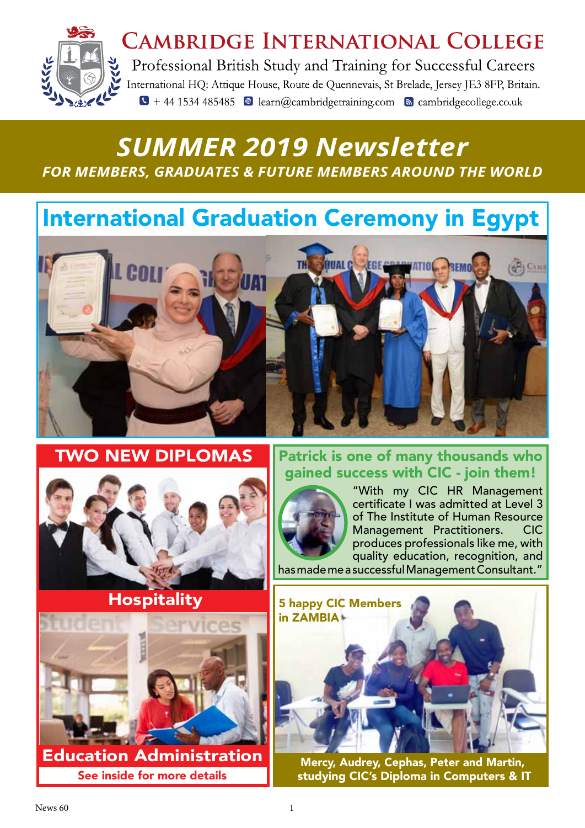

# **CAMBRIDGE INTERNATIONAL COLLEGE**

Professional British Study and Training for Successful Careers International HQ: Attique House, Route de Quennevais, St Brelade, Jersey JE3 8FP, Britain.  $\bullet$  + 44 1534 485485  $\bullet$  learn@cambridgetraining.com  $\bullet$  cambridgecollege.co.uk

# *SUMMER 2019 Newsletter FOR MEMBERS, GRADUATES & FUTURE MEMBERS AROUND THE WORLD*

# International Graduation Ceremony in Egypt



TWO NEW DIPLOMAS



# **Hospitality**

Education Administration See inside for more details

# Patrick is one of many thousands who Patrick is one of many thousands who gained success with CIC - join them! gained success with CIC - join them!



"With my CIC HR Management certificate I was admitted at Level 3 of The Institute of Human Resource Management Practitioners. CIC produces professionals like me, with quality education, recognition, and

has made me a successful Management Consultant."



Mercy, Audrey, Cephas, Peter and Martin, studying CIC's Diploma in Computers & IT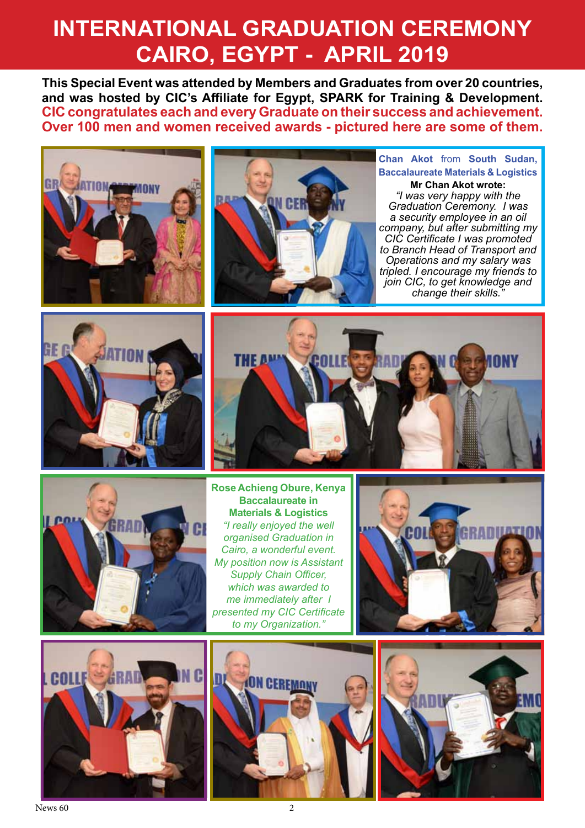# **INTERNATIONAL GRADUATION CEREMONY CAIRO, EGYPT - APRIL 2019**

**This Special Event was attended by Members and Graduates from over 20 countries, and was hosted by CIC's Affiliate for Egypt, SPARK for Training & Development. CIC congratulates each and every Graduate on their success and achievement. Over 100 men and women received awards - pictured here are some of them.** 





**Chan Akot** from **South Sudan, Baccalaureate Materials & Logistics**

**Mr Chan Akot wrote:** *"I was very happy with the Graduation Ceremony. I was a security employee in an oil company, but after submitting my CIC Certificate I was promoted to Branch Head of Transport and Operations and my salary was tripled. I encourage my friends to join CIC, to get knowledge and change their skills."*







**Rose Achieng Obure, Kenya Baccalaureate in Materials & Logistics** *"I really enjoyed the well organised Graduation in Cairo, a wonderful event. My position now is Assistant Supply Chain Officer, which was awarded to me immediately after I presented my CIC Certificate to my Organization."*







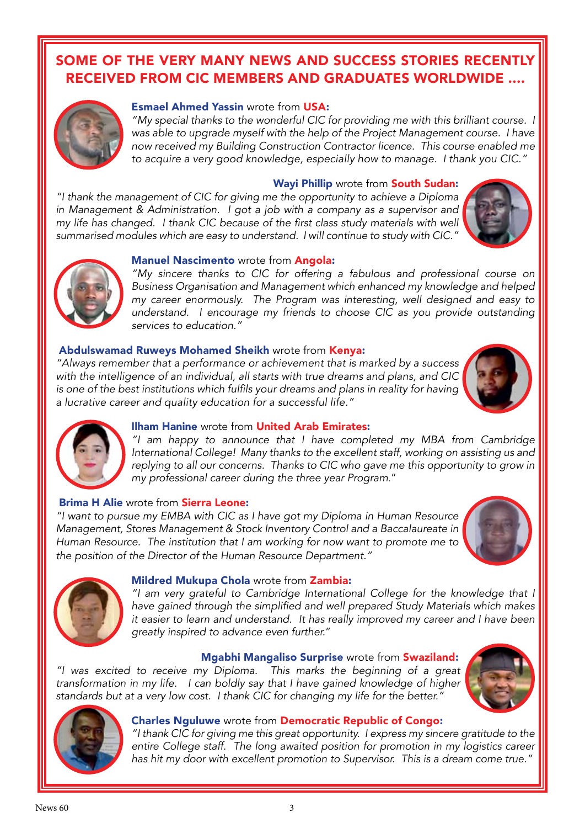# SOME OF THE VERY MANY NEWS AND SUCCESS STORIES RECENTLY RECEIVED FROM CIC MEMBERS AND GRADUATES WORLDWIDE ....



## Esmael Ahmed Yassin wrote from USA:

*"My special thanks to the wonderful CIC for providing me with this brilliant course. I was able to upgrade myself with the help of the Project Management course. I have now received my Building Construction Contractor licence. This course enabled me to acquire a very good knowledge, especially how to manage. I thank you CIC."*

#### Wayi Phillip wrote from South Sudan:

*"I thank the management of CIC for giving me the opportunity to achieve a Diploma in Management & Administration. I got a job with a company as a supervisor and*  my life has changed. I thank CIC because of the first class study materials with well *summarised modules which are easy to understand. I will continue to study with CIC."*





#### Manuel Nascimento wrote from Angola:

*"My sincere thanks to CIC for offering a fabulous and professional course on Business Organisation and Management which enhanced my knowledge and helped my career enormously. The Program was interesting, well designed and easy to understand. I encourage my friends to choose CIC as you provide outstanding services to education."*

## Abdulswamad Ruweys Mohamed Sheikh wrote from Kenya:

*"Always remember that a performance or achievement that is marked by a success with the intelligence of an individual, all starts with true dreams and plans, and CIC*  is one of the best institutions which fulfils your dreams and plans in reality for having *a lucrative career and quality education for a successful life."*





## Ilham Hanine wrote from United Arab Emirates:

*"I am happy to announce that I have completed my MBA from Cambridge International College! Many thanks to the excellent staff, working on assisting us and replying to all our concerns. Thanks to CIC who gave me this opportunity to grow in my professional career during the three year Program*."

## Brima H Alie wrote from Sierra Leone:

*"I want to pursue my EMBA with CIC as I have got my Diploma in Human Resource Management, Stores Management & Stock Inventory Control and a Baccalaureate in Human Resource. The institution that I am working for now want to promote me to the position of the Director of the Human Resource Department."* 





#### Mildred Mukupa Chola wrote from Zambia:

*"I am very grateful to Cambridge International College for the knowledge that I*  have gained through the simplified and well prepared Study Materials which makes *it easier to learn and understand. It has really improved my career and I have been greatly inspired to advance even further.*"

#### Mgabhi Mangaliso Surprise wrote from Swaziland:

*"I was excited to receive my Diploma. This marks the beginning of a great transformation in my life. I can boldly say that I have gained knowledge of higher standards but at a very low cost. I thank CIC for changing my life for the better."* 





#### Charles Nguluwe wrote from Democratic Republic of Congo:

*"I thank CIC for giving me this great opportunity. I express my sincere gratitude to the entire College staff. The long awaited position for promotion in my logistics career has hit my door with excellent promotion to Supervisor. This is a dream come true."*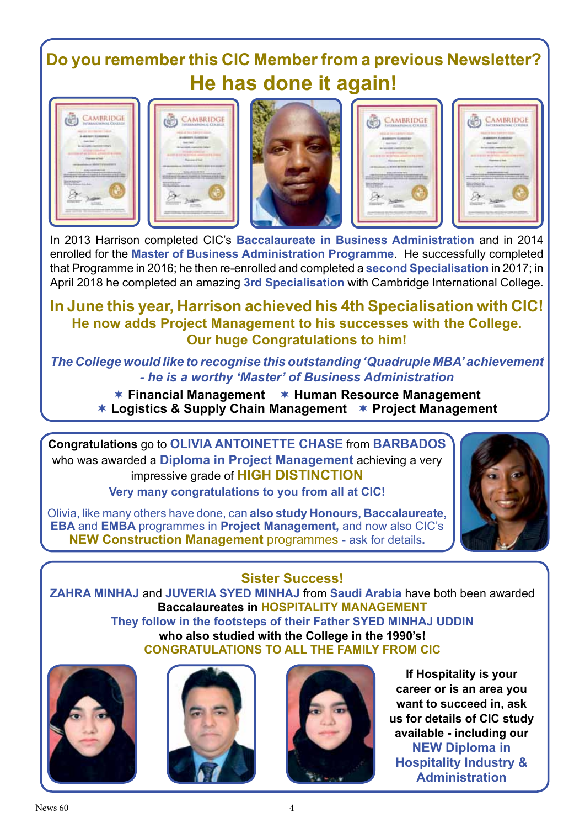# **Do you remember this CIC Member from a previous Newsletter? He has done it again!**









|   | AMBRIDGE |
|---|----------|
|   |          |
|   |          |
| ÷ |          |

In 2013 Harrison completed CIC's **Baccalaureate in Business Administration** and in 2014 enrolled for the **Master of Business Administration Programme**. He successfully completed that Programme in 2016; he then re-enrolled and completed a **second Specialisation** in 2017; in April 2018 he completed an amazing **3rd Specialisation** with Cambridge International College.

# **In June this year, Harrison achieved his 4th Specialisation with CIC! He now adds Project Management to his successes with the College. Our huge Congratulations to him!**

*The College would like to recognise this outstanding 'Quadruple MBA' achievement - he is a worthy 'Master' of Business Administration*

**★ Financial Management ★ Human Resource Management Logistics & Supply Chain Management Project Management**

**Congratulations** go to **OLIVIA ANTOINETTE CHASE** from **BARBADOS** who was awarded a **Diploma in Project Management** achieving a very impressive grade of **HIGH DISTINCTION Very many congratulations to you from all at CIC!**

Olivia, like many others have done, can **also study Honours, Baccalaureate, EBA** and **EMBA** programmes in **Project Management,** and now also CIC's **NEW Construction Management** programmes - ask for details**.**



# **Sister Success!**

**ZAHRA MINHAJ** and **JUVERIA SYED MINHAJ** from **Saudi Arabia** have both been awarded **Baccalaureates in HOSPITALITY MANAGEMENT**

**They follow in the footsteps of their Father SYED MINHAJ UDDIN who also studied with the College in the 1990's! CONGRATULATIONS TO ALL THE FAMILY FROM CIC**







**If Hospitality is your career or is an area you want to succeed in, ask us for details of CIC study available - including our NEW Diploma in Hospitality Industry & Administration**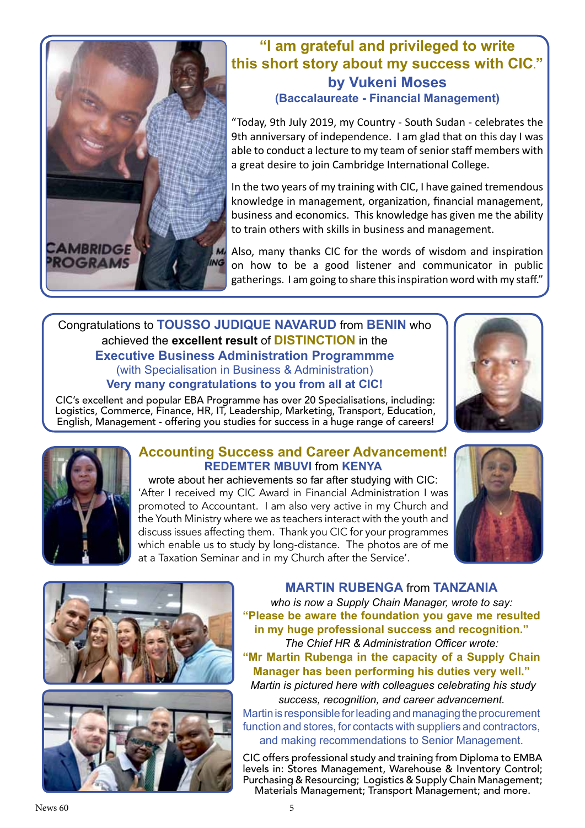

# **"I am grateful and privileged to write this short story about my success with CIC." by Vukeni Moses (Baccalaureate - Financial Management)**

"Today, 9th July 2019, my Country - South Sudan - celebrates the 9th anniversary of independence. I am glad that on this day I was able to conduct a lecture to my team of senior staff members with a great desire to join Cambridge International College.

In the two years of my training with CIC, I have gained tremendous knowledge in management, organization, financial management, business and economics. This knowledge has given me the ability to train others with skills in business and management.

Also, many thanks CIC for the words of wisdom and inspiration on how to be a good listener and communicator in public gatherings. I am going to share this inspiration word with my staff."

## Congratulations to **TOUSSO JUDIQUE NAVARUD** from **BENIN** who achieved the **excellent result** of **DISTINCTION** in the **Executive Business Administration Programmme**  (with Specialisation in Business & Administration) **Very many congratulations to you from all at CIC!**

CIC's excellent and popular EBA Programme has over 20 Specialisations, including: Logistics, Commerce, Finance, HR, IT, Leadership, Marketing, Transport, Education, English, Management - offering you studies for success in a huge range of careers!





# **Accounting Success and Career Advancement! REDEMTER MBUVI** from **KENYA**

wrote about her achievements so far after studying with CIC: 'After I received my CIC Award in Financial Administration I was promoted to Accountant. I am also very active in my Church and the Youth Ministry where we as teachers interact with the youth and discuss issues affecting them. Thank you CIC for your programmes which enable us to study by long-distance. The photos are of me at a Taxation Seminar and in my Church after the Service'.







**MARTIN RUBENGA** from **TANZANIA**

*who is now a Supply Chain Manager, wrote to say:*  **"Please be aware the foundation you gave me resulted in my huge professional success and recognition."** *The Chief HR & Administration Officer wrote:* **"Mr Martin Rubenga in the capacity of a Supply Chain Manager has been performing his duties very well."** *Martin is pictured here with colleagues celebrating his study success, recognition, and career advancement.* Martin is responsible for leading and managing the procurement

function and stores, for contacts with suppliers and contractors, and making recommendations to Senior Management.

CIC offers professional study and training from Diploma to EMBA levels in: Stores Management, Warehouse & Inventory Control; Purchasing & Resourcing; Logistics & Supply Chain Management; Materials Management; Transport Management; and more.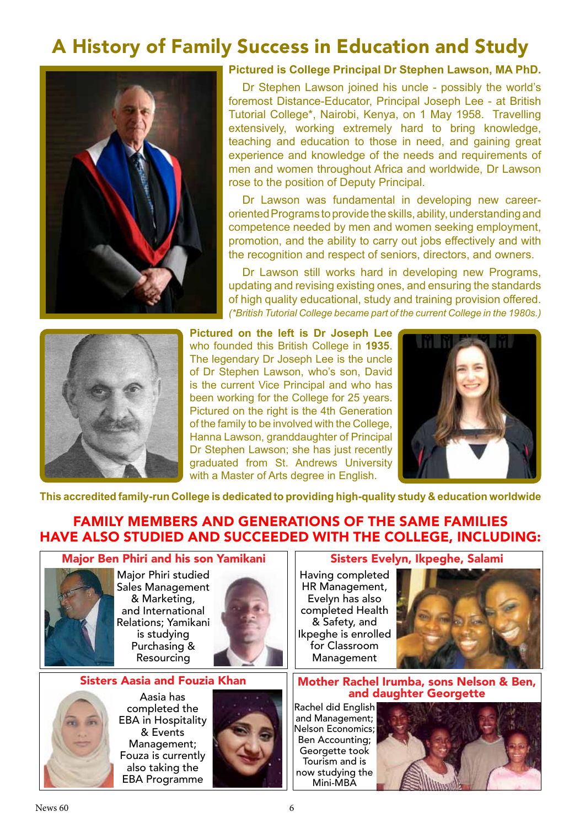# A History of Family Success in Education and Study



## **Pictured is College Principal Dr Stephen Lawson, MA PhD.**

Dr Stephen Lawson joined his uncle - possibly the world's foremost Distance-Educator, Principal Joseph Lee - at British Tutorial College\*, Nairobi, Kenya, on 1 May 1958. Travelling extensively, working extremely hard to bring knowledge, teaching and education to those in need, and gaining great experience and knowledge of the needs and requirements of men and women throughout Africa and worldwide, Dr Lawson rose to the position of Deputy Principal.

Dr Lawson was fundamental in developing new careeroriented Programs to provide the skills, ability, understanding and competence needed by men and women seeking employment, promotion, and the ability to carry out jobs effectively and with the recognition and respect of seniors, directors, and owners.

Dr Lawson still works hard in developing new Programs, updating and revising existing ones, and ensuring the standards of high quality educational, study and training provision offered. *(\*British Tutorial College became part of the current College in the 1980s.)*



**Pictured on the left is Dr Joseph Lee** who founded this British College in **1935**. The legendary Dr Joseph Lee is the uncle of Dr Stephen Lawson, who's son, David is the current Vice Principal and who has been working for the College for 25 years. Pictured on the right is the 4th Generation of the family to be involved with the College, Hanna Lawson, granddaughter of Principal Dr Stephen Lawson; she has just recently graduated from St. Andrews University with a Master of Arts degree in English.



**This accredited family-run College is dedicated to providing high-quality study & education worldwide**

# FAMILY MEMBERS AND GENERATIONS OF THE SAME FAMILIES HAVE ALSO STUDIED AND SUCCEEDED WITH THE COLLEGE, INCLUDING:



Major Phiri studied Sales Management & Marketing, and International Relations; Yamikani is studying Purchasing & Resourcing



#### Sisters Aasia and Fouzia Khan



Aasia has completed the EBA in Hospitality & Events Management; Fouza is currently also taking the EBA Programme



#### Sisters Evelyn, Ikpeghe, Salami

Having completed HR Management, Evelyn has also completed Health & Safety, and Ikpeghe is enrolled for Classroom Management



#### Mother Rachel Irumba, sons Nelson & Ben, and daughter Georgette

Rachel did English and Management; Nelson Economics; Ben Accounting; Georgette took Tourism and is now studying the Mini-MBA

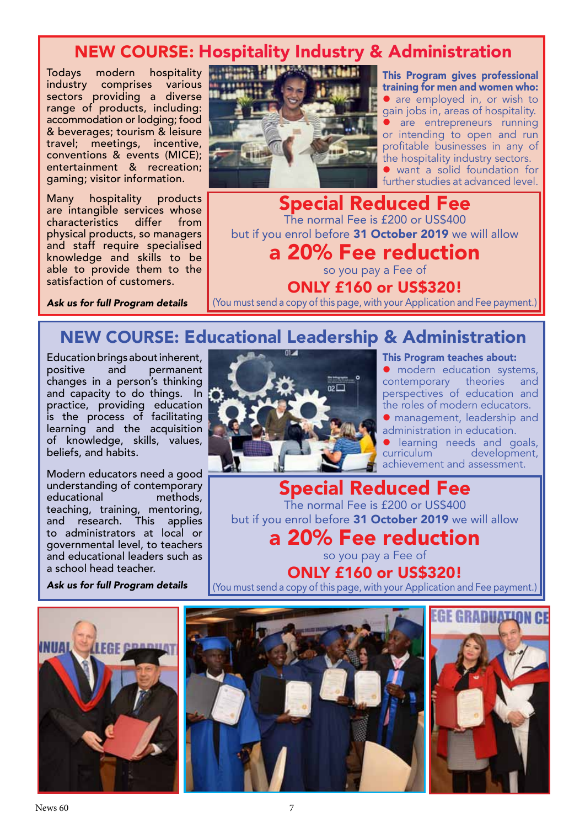# NEW COURSE: Hospitality Industry & Administration

Todays modern hospitality industry comprises various sectors providing a diverse range of products, including: accommodation or lodging; food & beverages; tourism & leisure travel; meetings, incentive, conventions & events (MICE); entertainment & recreation; gaming; visitor information.

Many hospitality products are intangible services whose<br>characteristics differ from characteristics physical products, so managers and staff require specialised knowledge and skills to be able to provide them to the satisfaction of customers.

*Ask us for full Program details*



This Program gives professional training for men and women who: • are employed in, or wish to gain jobs in, areas of hospitality. are entrepreneurs running or intending to open and run profitable businesses in any of the hospitality industry sectors. want a solid foundation for further studies at advanced level.

Special Reduced Fee The normal Fee is £200 or US\$400 but if you enrol before 31 October 2019 we will allow a 20% Fee reduction

so you pay a Fee of ONLY £160 or US\$320!

(You must send a copy of this page, with your Application and Fee payment.)

# NEW COURSE: Educational Leadership & Administration

Education brings about inherent,<br>positive and permanent permanent changes in a person's thinking and capacity to do things. In practice, providing education is the process of facilitating learning and the acquisition of knowledge, skills, values, beliefs, and habits.

Modern educators need a good understanding of contemporary educational methods, teaching, training, mentoring, and research. This applies to administrators at local or governmental level, to teachers and educational leaders such as a school head teacher.

*Ask us for full Program details*



This Program teaches about:

**•** modern education systems,<br>contemporary theories and contemporary theories perspectives of education and the roles of modern educators.

 management, leadership and administration in education.

**I** learning needs and goals, curriculum development, curriculum development, achievement and assessment.

Special Reduced Fee The normal Fee is £200 or US\$400 but if you enrol before 31 October 2019 we will allow

a 20% Fee reduction

so you pay a Fee of ONLY £160 or US\$320!

(You must send a copy of this page, with your Application and Fee payment.)